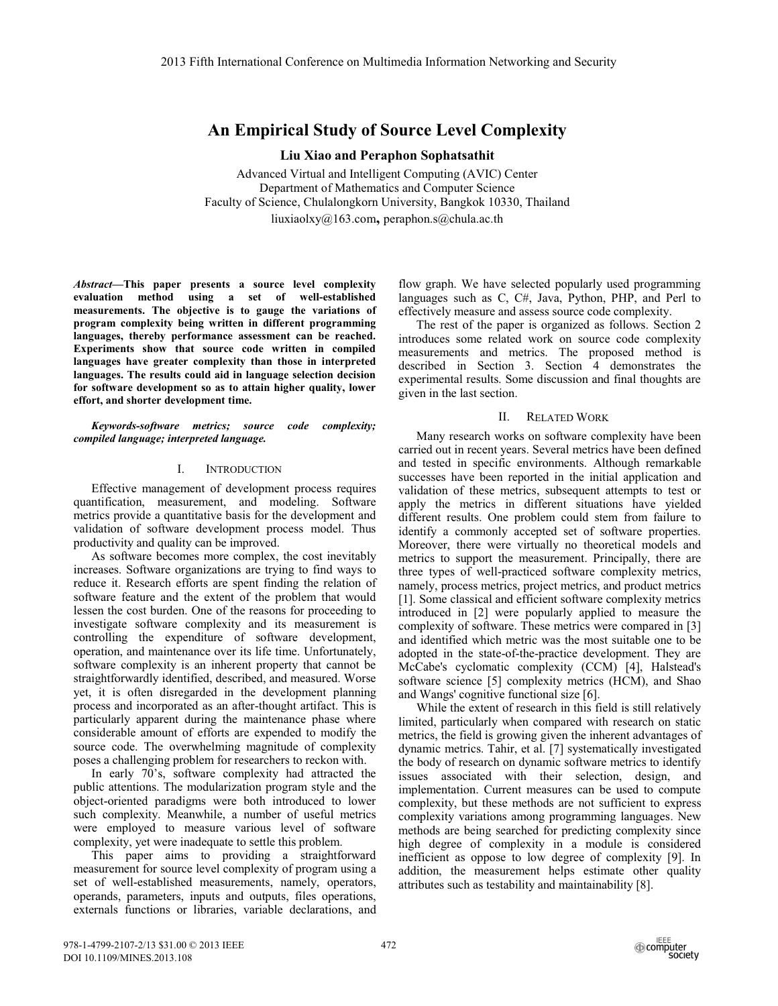# **An Empirical Study of Source Level Complexity**

## **Liu Xiao and Peraphon Sophatsathit**

Advanced Virtual and Intelligent Computing (AVIC) Center Department of Mathematics and Computer Science Faculty of Science, Chulalongkorn University, Bangkok 10330, Thailand liuxiaolxy@163.com**,** peraphon.s@chula.ac.th

*Abstract***—This paper presents a source level complexity evaluation method using a set of well-established measurements. The objective is to gauge the variations of program complexity being written in different programming languages, thereby performance assessment can be reached. Experiments show that source code written in compiled languages have greater complexity than those in interpreted languages. The results could aid in language selection decision for software development so as to attain higher quality, lower effort, and shorter development time.** 

*Keywords-software metrics; source code complexity; compiled language; interpreted language.* 

## I. INTRODUCTION

Effective management of development process requires quantification, measurement, and modeling. Software metrics provide a quantitative basis for the development and validation of software development process model. Thus productivity and quality can be improved.

As software becomes more complex, the cost inevitably increases. Software organizations are trying to find ways to reduce it. Research efforts are spent finding the relation of software feature and the extent of the problem that would lessen the cost burden. One of the reasons for proceeding to investigate software complexity and its measurement is controlling the expenditure of software development, operation, and maintenance over its life time. Unfortunately, software complexity is an inherent property that cannot be straightforwardly identified, described, and measured. Worse yet, it is often disregarded in the development planning process and incorporated as an after-thought artifact. This is particularly apparent during the maintenance phase where considerable amount of efforts are expended to modify the source code. The overwhelming magnitude of complexity poses a challenging problem for researchers to reckon with.

In early 70's, software complexity had attracted the public attentions. The modularization program style and the object-oriented paradigms were both introduced to lower such complexity. Meanwhile, a number of useful metrics were employed to measure various level of software complexity, yet were inadequate to settle this problem.

This paper aims to providing a straightforward measurement for source level complexity of program using a set of well-established measurements, namely, operators, operands, parameters, inputs and outputs, files operations, externals functions or libraries, variable declarations, and

flow graph. We have selected popularly used programming languages such as C, C#, Java, Python, PHP, and Perl to effectively measure and assess source code complexity.

The rest of the paper is organized as follows. Section 2 introduces some related work on source code complexity measurements and metrics. The proposed method is described in Section 3. Section 4 demonstrates the experimental results. Some discussion and final thoughts are given in the last section.

## II. RELATED WORK

Many research works on software complexity have been carried out in recent years. Several metrics have been defined and tested in specific environments. Although remarkable successes have been reported in the initial application and validation of these metrics, subsequent attempts to test or apply the metrics in different situations have yielded different results. One problem could stem from failure to identify a commonly accepted set of software properties. Moreover, there were virtually no theoretical models and metrics to support the measurement. Principally, there are three types of well-practiced software complexity metrics, namely, process metrics, project metrics, and product metrics [1]. Some classical and efficient software complexity metrics introduced in [2] were popularly applied to measure the complexity of software. These metrics were compared in [3] and identified which metric was the most suitable one to be adopted in the state-of-the-practice development. They are McCabe's cyclomatic complexity (CCM) [4], Halstead's software science [5] complexity metrics (HCM), and Shao and Wangs' cognitive functional size [6].

While the extent of research in this field is still relatively limited, particularly when compared with research on static metrics, the field is growing given the inherent advantages of dynamic metrics. Tahir, et al. [7] systematically investigated the body of research on dynamic software metrics to identify issues associated with their selection, design, and implementation. Current measures can be used to compute complexity, but these methods are not sufficient to express complexity variations among programming languages. New methods are being searched for predicting complexity since high degree of complexity in a module is considered inefficient as oppose to low degree of complexity [9]. In addition, the measurement helps estimate other quality attributes such as testability and maintainability [8].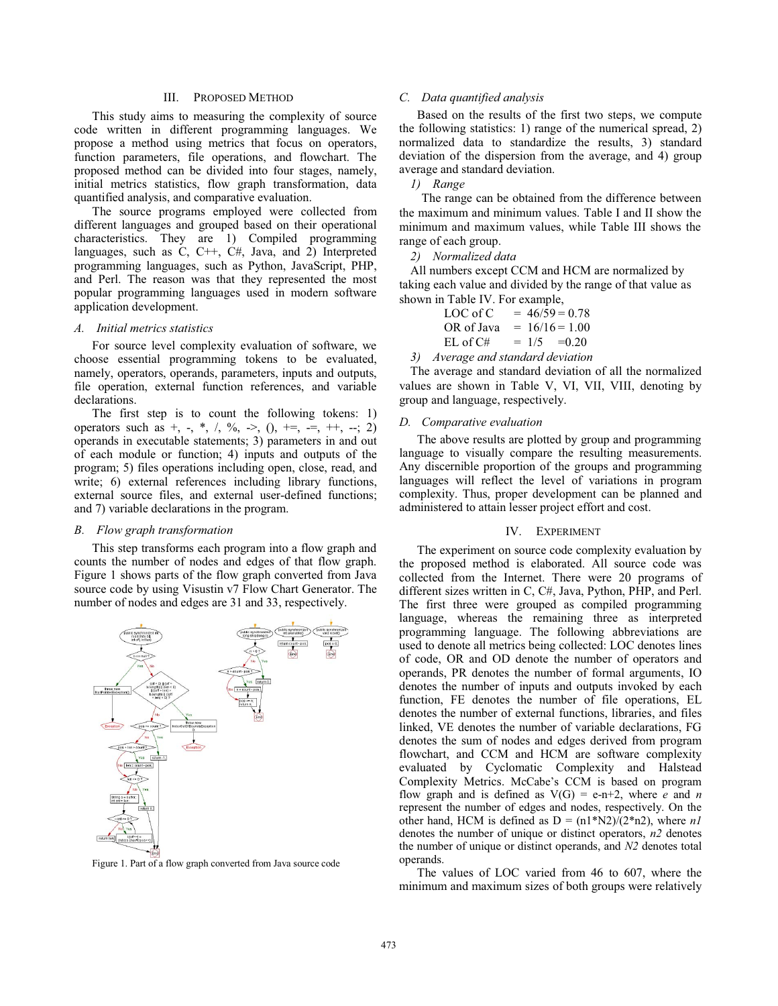## III. PROPOSED METHOD

This study aims to measuring the complexity of source code written in different programming languages. We propose a method using metrics that focus on operators, function parameters, file operations, and flowchart. The proposed method can be divided into four stages, namely, initial metrics statistics, flow graph transformation, data quantified analysis, and comparative evaluation.

The source programs employed were collected from different languages and grouped based on their operational characteristics. They are 1) Compiled programming languages, such as C, C++, C#, Java, and 2) Interpreted programming languages, such as Python, JavaScript, PHP, and Perl. The reason was that they represented the most popular programming languages used in modern software application development.

#### *A. Initial metrics statistics*

For source level complexity evaluation of software, we choose essential programming tokens to be evaluated, namely, operators, operands, parameters, inputs and outputs, file operation, external function references, and variable declarations.

The first step is to count the following tokens: 1) operators such as  $+, -, *, /, \%, >>, (), +=, =, ++, -; 2)$ operands in executable statements; 3) parameters in and out of each module or function; 4) inputs and outputs of the program; 5) files operations including open, close, read, and write; 6) external references including library functions, external source files, and external user-defined functions; and 7) variable declarations in the program.

#### *B. Flow graph transformation*

This step transforms each program into a flow graph and counts the number of nodes and edges of that flow graph. Figure 1 shows parts of the flow graph converted from Java source code by using Visustin v7 Flow Chart Generator. The number of nodes and edges are 31 and 33, respectively.



Figure 1. Part of a flow graph converted from Java source code

## *C. Data quantified analysis*

Based on the results of the first two steps, we compute the following statistics: 1) range of the numerical spread, 2) normalized data to standardize the results, 3) standard deviation of the dispersion from the average, and 4) group average and standard deviation.

*1) Range*

The range can be obtained from the difference between the maximum and minimum values. Table I and II show the minimum and maximum values, while Table III shows the range of each group.

## *2) Normalized data*

All numbers except CCM and HCM are normalized by taking each value and divided by the range of that value as shown in Table IV. For example,

| LOC of C   | $= 46/59 = 0.78$ |
|------------|------------------|
| OR of Java | $= 16/16 = 1.00$ |
| EL of C#   | $= 1/5 = 0.20$   |

*3) Average and standard deviation* 

The average and standard deviation of all the normalized values are shown in Table V, VI, VII, VIII, denoting by group and language, respectively.

#### *D. Comparative evaluation*

The above results are plotted by group and programming language to visually compare the resulting measurements. Any discernible proportion of the groups and programming languages will reflect the level of variations in program complexity. Thus, proper development can be planned and administered to attain lesser project effort and cost.

#### IV. EXPERIMENT

The experiment on source code complexity evaluation by the proposed method is elaborated. All source code was collected from the Internet. There were 20 programs of different sizes written in C, C#, Java, Python, PHP, and Perl. The first three were grouped as compiled programming language, whereas the remaining three as interpreted programming language. The following abbreviations are used to denote all metrics being collected: LOC denotes lines of code, OR and OD denote the number of operators and operands, PR denotes the number of formal arguments, IO denotes the number of inputs and outputs invoked by each function, FE denotes the number of file operations, EL denotes the number of external functions, libraries, and files linked, VE denotes the number of variable declarations, FG denotes the sum of nodes and edges derived from program flowchart, and CCM and HCM are software complexity evaluated by Cyclomatic Complexity and Halstead Complexity Metrics. McCabe's CCM is based on program flow graph and is defined as  $V(G) = e-n+2$ , where *e* and *n* represent the number of edges and nodes, respectively. On the other hand, HCM is defined as  $D = (n1*N2)/(2*n2)$ , where *n1* denotes the number of unique or distinct operators, *n2* denotes the number of unique or distinct operands, and *N2* denotes total operands.

The values of LOC varied from 46 to 607, where the minimum and maximum sizes of both groups were relatively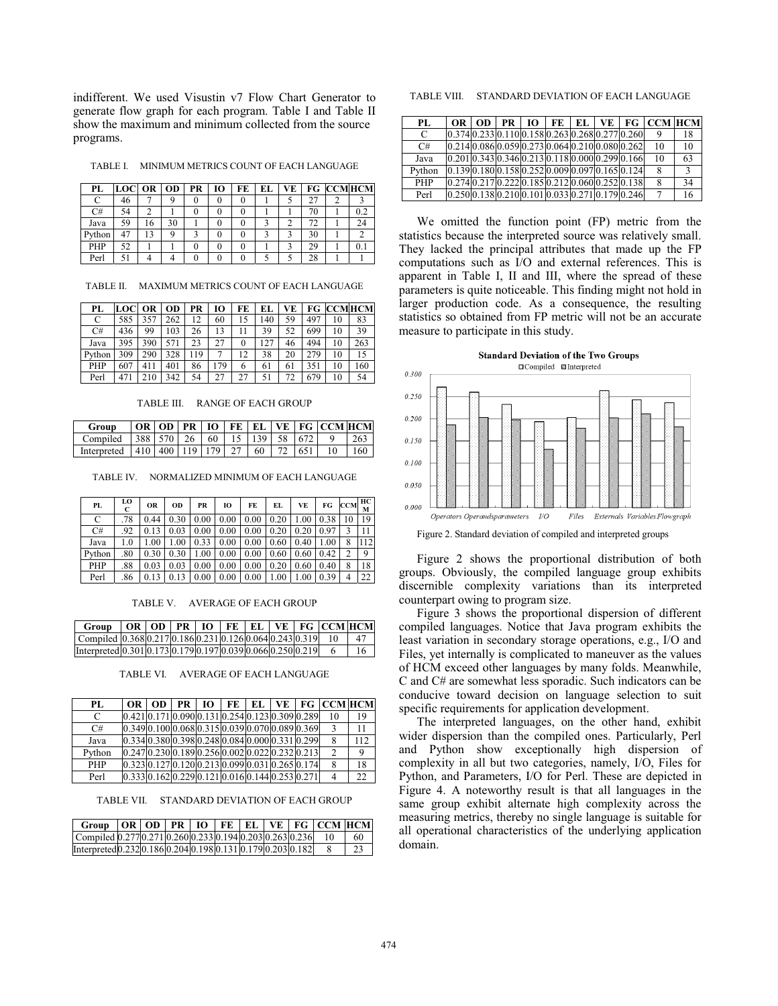indifferent. We used Visustin v7 Flow Chart Generator to generate flow graph for each program. Table I and Table II show the maximum and minimum collected from the source programs.

TABLE I. MINIMUM METRICS COUNT OF EACH LANGUAGE

| PL     | $LOGOR$ OD |    |    | <b>PR</b> | 10 | FE | EL | VE |    | FG CCMHCM |
|--------|------------|----|----|-----------|----|----|----|----|----|-----------|
|        | 46         |    |    |           |    |    |    |    |    |           |
| C#     | 54         |    |    |           |    |    |    |    | 70 | 0.2       |
| Java   | 59         | 16 | 30 |           |    |    |    |    | 72 | 24        |
| Python | 47         | 13 |    |           |    |    |    |    | 30 |           |
| PHP    | 52         |    |    |           |    |    |    |    | 29 |           |
| Perl   |            |    |    |           |    |    |    |    | 28 |           |

TABLE II. MAXIMUM METRICS COUNT OF EACH LANGUAGE

| PL     | LOC | OR I | <b>OD</b> | PR  | 10  | FE | EL | VE | FG  |    | <b>CCMHCM</b> |
|--------|-----|------|-----------|-----|-----|----|----|----|-----|----|---------------|
| С      | 585 | 357  | 262       | 12  | 60  | 15 | 40 | 59 | 497 | 10 | 83            |
| C#     | 436 | 99   | 103       | 26  | 13  |    | 39 | 52 | 699 | 10 | 39            |
| Java   | 395 | 390  | 571       | 23  | 27  | 0  | 27 | 46 | 494 | 10 | 263           |
| Python | 309 | 290  | 328       | 119 |     | 12 | 38 | 20 | 279 | 10 | 15            |
| PHP    | 607 | 411  | 401       | 86  | 179 | 6  | 61 | 61 | 351 | 10 | 160           |
| Perl   | 471 | 210  | 342       | 54  | 27  | 27 | 51 | 72 | 679 | 10 | 54            |

TABLE III. RANGE OF EACH GROUP

| Group                                                     |  |  |  |  | $ OR   OD   PR   IO   FE   EL   VE   FG   CCM   HCM$ |  |
|-----------------------------------------------------------|--|--|--|--|------------------------------------------------------|--|
| Compiled 1388 570 1 26 1 60 1 15 1 139 1 58 1 672 1 9 263 |  |  |  |  |                                                      |  |
| Interpreted 410 400 119 179 27 60 72 651 10 160           |  |  |  |  |                                                      |  |

TABLE IV. NORMALIZED MINIMUM OF EACH LANGUAGE

| PL     | LO<br>C | <b>OR</b> | OD   | PR   | 10   | FE   | EL   | VE   | FG   | <b>CCM</b> | ΗС<br>M |
|--------|---------|-----------|------|------|------|------|------|------|------|------------|---------|
| С      | .78     | 0.44      | 0.30 | 0.00 | 0.00 | 0.00 | 0.20 | 1.00 | 0.38 |            | 19      |
| C#     | .92     | 0.13      | 0.03 | 0.00 | 0.00 | 0.00 | 0.20 | 0.20 | 0.97 |            |         |
| Java   | 1.0     | 1.00      | 1.00 | 0.33 | 0.00 | 0.00 | 0.60 | 0.40 | 1.00 | 8          | 112     |
| Python | .80     | 0.30      | 0.30 | 1.00 | 0.00 | 0.00 | 0.60 | 0.60 | 0.42 | 2          | Q       |
| PHP    | .88     | 0.03      | 0.03 | 0.00 | 0.00 | 0.00 | 0.20 | 0.60 | 0.40 | 8          | 18      |
| Perl   | .86     | 0.13      | 0.13 | 0.00 | 0.00 | 0.00 | 1.00 | 1.00 | 0.39 | 4          | 22      |

TABLE V. AVERAGE OF EACH GROUP

| Group $ OR   OD   PR   IO   FE   EL   VE   FG   CCM   HCM$  |  |  |  |  |      |
|-------------------------------------------------------------|--|--|--|--|------|
| Compiled 0.3680.2170.1860.2310.1260.0640.2430.319 10        |  |  |  |  | - 47 |
| Interpreted 0.301 0.173 0.179 0.197 0.039 0.066 0.250 0.219 |  |  |  |  | 16.  |

TABLE VI. AVERAGE OF EACH LANGUAGE

| PL.        | OR 1                                                       | OD 1                                            | $PR$   $IO$ |  |  | FE EL VE FG CCM HCM |     |
|------------|------------------------------------------------------------|-------------------------------------------------|-------------|--|--|---------------------|-----|
| C          |                                                            | 0.421 0.171 0.090 0.131 0.254 0.123 0.309 0.289 |             |  |  | 10                  | 19  |
| C#         | 0.349 0.100 0.068 0.315 0.039 0.070 0.089 0.369            |                                                 |             |  |  |                     | 11  |
| Java       | 0.334 0.380 0.398 0.248 0.084 0.000 0.331 0.299            |                                                 |             |  |  |                     | 112 |
| Python     | $[0.247] 0.230] 0.189] 0.256] 0.002] 0.022] 0.232] 0.213]$ |                                                 |             |  |  |                     | 9   |
| <b>PHP</b> | 0.323 0.127 0.120 0.213 0.099 0.031 0.265 0.174            |                                                 |             |  |  | 8                   | 18  |
| Perl       | 0.3330.1620.2290.1210.0160.1440.2530.271                   |                                                 |             |  |  |                     | 22  |

TABLE VII. STANDARD DEVIATION OF EACH GROUP

| Group $ OR OD PR IO FE EL VE FG CCM HCM$                    |  |  |  |  |     |
|-------------------------------------------------------------|--|--|--|--|-----|
| Compiled 0.277 0.271 0.260 0.233 0.194 0.203 0.263 0.236 10 |  |  |  |  | -60 |
| Interpreted 0.232 0.186 0.204 0.198 0.131 0.179 0.203 0.182 |  |  |  |  | 23  |

TABLE VIII. STANDARD DEVIATION OF EACH LANGUAGE

| PL         | OR OD                                                     | PR |  |  |                                                           | $IO$   FE   EL   VE   FG   CCM   HCM |               |
|------------|-----------------------------------------------------------|----|--|--|-----------------------------------------------------------|--------------------------------------|---------------|
| C          | $[0.374] 0.233] 0.110] 0.158] 0.263] 0.268] 0.277] 0.260$ |    |  |  |                                                           | 9                                    | 18            |
| C#         | 0.214 0.086 0.059 0.273 0.064 0.210 0.080 0.262           |    |  |  |                                                           | 10                                   | 10            |
| Java       |                                                           |    |  |  | $[0.201] 0.343] 0.346] 0.213] 0.118] 0.000] 0.299] 0.166$ | 10                                   | 63            |
| Python     |                                                           |    |  |  | 0.139 0.180 0.158 0.252 0.009 0.097 0.165 0.124           | 8                                    | $\mathcal{F}$ |
| <b>PHP</b> | $[0.274] 0.217] 0.222] 0.185] 0.212] 0.060] 0.252] 0.138$ |    |  |  |                                                           | 8                                    | 34            |
| Perl       |                                                           |    |  |  | 0.250 0.138 0.210 0.101 0.033 0.271 0.179 0.246           |                                      | 16            |

We omitted the function point (FP) metric from the statistics because the interpreted source was relatively small. They lacked the principal attributes that made up the FP computations such as I/O and external references. This is apparent in Table I, II and III, where the spread of these parameters is quite noticeable. This finding might not hold in larger production code. As a consequence, the resulting statistics so obtained from FP metric will not be an accurate measure to participate in this study.



Figure 2. Standard deviation of compiled and interpreted groups

Figure 2 shows the proportional distribution of both groups. Obviously, the compiled language group exhibits discernible complexity variations than its interpreted counterpart owing to program size.

Figure 3 shows the proportional dispersion of different compiled languages. Notice that Java program exhibits the least variation in secondary storage operations, e.g., I/O and Files, yet internally is complicated to maneuver as the values of HCM exceed other languages by many folds. Meanwhile, C and C# are somewhat less sporadic. Such indicators can be conducive toward decision on language selection to suit specific requirements for application development.

The interpreted languages, on the other hand, exhibit wider dispersion than the compiled ones. Particularly, Perl and Python show exceptionally high dispersion of complexity in all but two categories, namely, I/O, Files for Python, and Parameters, I/O for Perl. These are depicted in Figure 4. A noteworthy result is that all languages in the same group exhibit alternate high complexity across the measuring metrics, thereby no single language is suitable for all operational characteristics of the underlying application domain.